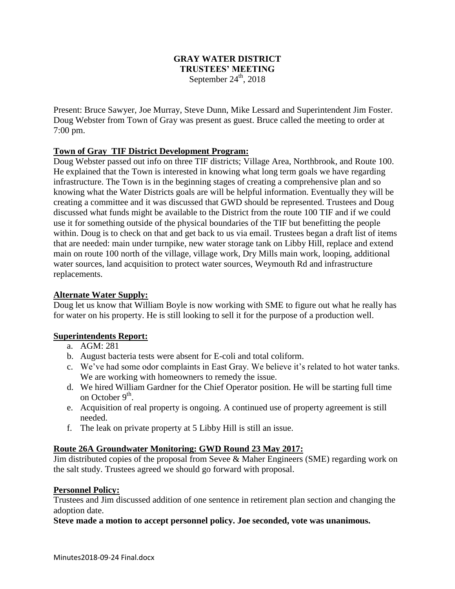# **GRAY WATER DISTRICT TRUSTEES' MEETING** September  $24<sup>th</sup>$ , 2018

Present: Bruce Sawyer, Joe Murray, Steve Dunn, Mike Lessard and Superintendent Jim Foster. Doug Webster from Town of Gray was present as guest. Bruce called the meeting to order at 7:00 pm.

# **Town of Gray TIF District Development Program:**

Doug Webster passed out info on three TIF districts; Village Area, Northbrook, and Route 100. He explained that the Town is interested in knowing what long term goals we have regarding infrastructure. The Town is in the beginning stages of creating a comprehensive plan and so knowing what the Water Districts goals are will be helpful information. Eventually they will be creating a committee and it was discussed that GWD should be represented. Trustees and Doug discussed what funds might be available to the District from the route 100 TIF and if we could use it for something outside of the physical boundaries of the TIF but benefitting the people within. Doug is to check on that and get back to us via email. Trustees began a draft list of items that are needed: main under turnpike, new water storage tank on Libby Hill, replace and extend main on route 100 north of the village, village work, Dry Mills main work, looping, additional water sources, land acquisition to protect water sources, Weymouth Rd and infrastructure replacements.

### **Alternate Water Supply:**

Doug let us know that William Boyle is now working with SME to figure out what he really has for water on his property. He is still looking to sell it for the purpose of a production well.

### **Superintendents Report:**

- a. AGM: 281
- b. August bacteria tests were absent for E-coli and total coliform.
- c. We've had some odor complaints in East Gray. We believe it's related to hot water tanks. We are working with homeowners to remedy the issue.
- d. We hired William Gardner for the Chief Operator position. He will be starting full time on October 9<sup>th</sup>.
- e. Acquisition of real property is ongoing. A continued use of property agreement is still needed.
- f. The leak on private property at 5 Libby Hill is still an issue.

### **Route 26A Groundwater Monitoring: GWD Round 23 May 2017:**

Jim distributed copies of the proposal from Sevee & Maher Engineers (SME) regarding work on the salt study. Trustees agreed we should go forward with proposal.

### **Personnel Policy:**

Trustees and Jim discussed addition of one sentence in retirement plan section and changing the adoption date.

### **Steve made a motion to accept personnel policy. Joe seconded, vote was unanimous.**